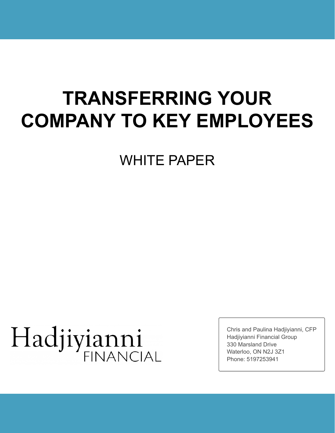# **TRANSFERRING YOUR COMPANY TO KEY EMPLOYEES**

WHITE PAPER

# Hadjiyianni **FINANCIAL**

Chris and Paulina Hadjiyianni, CFP Hadjiyianni Financial Group 330 Marsland Drive Waterloo, ON N2J 3Z1 Phone: 5197253941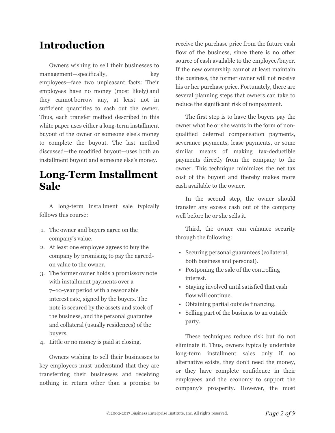# **Introduction**

Owners wishing to sell their businesses to management—specifically, key employees—face two unpleasant facts: Their employees have no money (most likely) and they cannot borrow any, at least not in sufficient quantities to cash out the owner. Thus, each transfer method described in this white paper uses either a long-term installment buyout of the owner or someone else's money to complete the buyout. The last method discussed—the modified buyout—uses both an installment buyout and someone else's money.

## **Long-Term Installment Sale**

A long-term installment sale typically follows this course:

- 1. The owner and buyers agree on the company's value.
- 2. At least one employee agrees to buy the company by promising to pay the agreedon value to the owner.
- 3. The former owner holds a promissory note with installment payments over a 7–10-year period with a reasonable interest rate, signed by the buyers. The note is secured by the assets and stock of the business, and the personal guarantee and collateral (usually residences) of the buyers.
- 4. Little or no money is paid at closing.

Owners wishing to sell their businesses to key employees must understand that they are transferring their businesses and receiving nothing in return other than a promise to receive the purchase price from the future cash flow of the business, since there is no other source of cash available to the employee/buyer. If the new ownership cannot at least maintain the business, the former owner will not receive his or her purchase price. Fortunately, there are several planning steps that owners can take to reduce the significant risk of nonpayment.

The first step is to have the buyers pay the owner what he or she wants in the form of nonqualified deferred compensation payments, severance payments, lease payments, or some similar means of making tax-deductible payments directly from the company to the owner. This technique minimizes the net tax cost of the buyout and thereby makes more cash available to the owner.

In the second step, the owner should transfer any excess cash out of the company well before he or she sells it.

Third, the owner can enhance security through the following:

- Securing personal guarantees (collateral, both business and personal).
- Postponing the sale of the controlling interest.
- Staying involved until satisfied that cash flow will continue.
- Obtaining partial outside financing.
- Selling part of the business to an outside party.

These techniques reduce risk but do not eliminate it. Thus, owners typically undertake long-term installment sales only if no alternative exists, they don't need the money, or they have complete confidence in their employees and the economy to support the company's prosperity. However, the most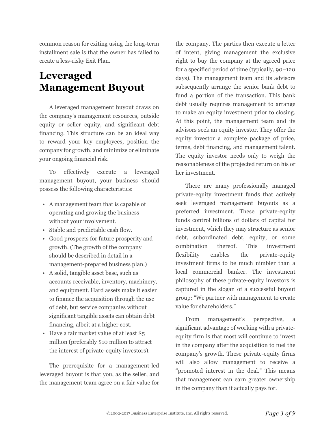common reason for exiting using the long-term installment sale is that the owner has failed to create a less-risky Exit Plan.

# **Leveraged Management Buyout**

A leveraged management buyout draws on the company's management resources, outside equity or seller equity, and significant debt financing. This structure can be an ideal way to reward your key employees, position the company for growth, and minimize or eliminate your ongoing financial risk.

To effectively execute a leveraged management buyout, your business should possess the following characteristics:

- A management team that is capable of operating and growing the business without your involvement.
- Stable and predictable cash flow.
- Good prospects for future prosperity and growth. (The growth of the company should be described in detail in a management-prepared business plan.)
- A solid, tangible asset base, such as accounts receivable, inventory, machinery, and equipment. Hard assets make it easier to finance the acquisition through the use of debt, but service companies without significant tangible assets can obtain debt financing, albeit at a higher cost.
- Have a fair market value of at least \$5 million (preferably \$10 million to attract the interest of private-equity investors).

The prerequisite for a management-led leveraged buyout is that you, as the seller, and the management team agree on a fair value for the company. The parties then execute a letter of intent, giving management the exclusive right to buy the company at the agreed price for a specified period of time (typically, 90–120 days). The management team and its advisors subsequently arrange the senior bank debt to fund a portion of the transaction. This bank debt usually requires management to arrange to make an equity investment prior to closing. At this point, the management team and its advisors seek an equity investor. They offer the equity investor a complete package of price, terms, debt financing, and management talent. The equity investor needs only to weigh the reasonableness of the projected return on his or her investment.

There are many professionally managed private-equity investment funds that actively seek leveraged management buyouts as a preferred investment. These private-equity funds control billions of dollars of capital for investment, which they may structure as senior debt, subordinated debt, equity, or some combination thereof. This investment flexibility enables the private-equity investment firms to be much nimbler than a local commercial banker. The investment philosophy of these private-equity investors is captured in the slogan of a successful buyout group: "We partner with management to create value for shareholders."

From management's perspective, a significant advantage of working with a privateequity firm is that most will continue to invest in the company after the acquisition to fuel the company's growth. These private-equity firms will also allow management to receive a "promoted interest in the deal." This means that management can earn greater ownership in the company than it actually pays for.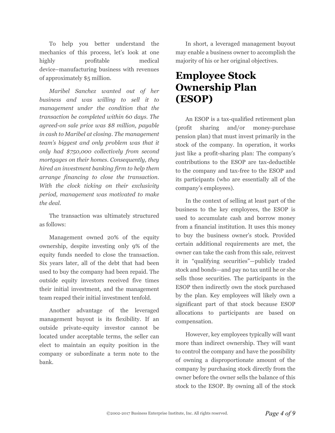To help you better understand the mechanics of this process, let's look at one highly profitable medical device–manufacturing business with revenues of approximately \$5 million.

*Maribel Sanchez wanted out of her business and was willing to sell it to management under the condition that the transaction be completed within 60 days. The agreed-on sale price was \$8 million, payable in cash to Maribel at closing. The management team's biggest and only problem was that it only had \$750,000 collectively from second mortgages on their homes. Consequently, they hired an investment banking firm to help them arrange financing to close the transaction. With the clock ticking on their exclusivity period, management was motivated to make the deal.*

The transaction was ultimately structured as follows:

Management owned 20% of the equity ownership, despite investing only 9% of the equity funds needed to close the transaction. Six years later, all of the debt that had been used to buy the company had been repaid. The outside equity investors received five times their initial investment, and the management team reaped their initial investment tenfold.

Another advantage of the leveraged management buyout is its flexibility. If an outside private-equity investor cannot be located under acceptable terms, the seller can elect to maintain an equity position in the company or subordinate a term note to the bank.

In short, a leveraged management buyout may enable a business owner to accomplish the majority of his or her original objectives.

### **Employee Stock Ownership Plan (ESOP)**

An ESOP is a tax-qualified retirement plan (profit sharing and/or money-purchase pension plan) that must invest primarily in the stock of the company. In operation, it works just like a profit-sharing plan: The company's contributions to the ESOP are tax-deductible to the company and tax-free to the ESOP and its participants (who are essentially all of the company's employees).

In the context of selling at least part of the business to the key employees, the ESOP is used to accumulate cash and borrow money from a financial institution. It uses this money to buy the business owner's stock. Provided certain additional requirements are met, the owner can take the cash from this sale, reinvest it in "qualifying securities"—publicly traded stock and bonds—and pay no tax until he or she sells those securities. The participants in the ESOP then indirectly own the stock purchased by the plan. Key employees will likely own a significant part of that stock because ESOP allocations to participants are based on compensation.

However, key employees typically will want more than indirect ownership. They will want to control the company and have the possibility of owning a disproportionate amount of the company by purchasing stock directly from the owner before the owner sells the balance of this stock to the ESOP. By owning all of the stock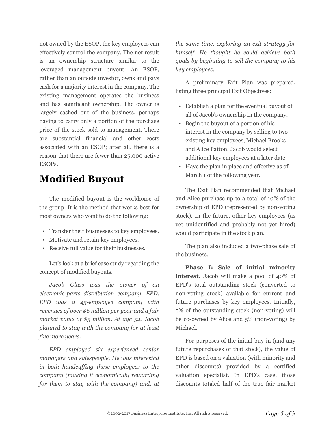not owned by the ESOP, the key employees can effectively control the company. The net result is an ownership structure similar to the leveraged management buyout: An ESOP, rather than an outside investor, owns and pays cash for a majority interest in the company. The existing management operates the business and has significant ownership. The owner is largely cashed out of the business, perhaps having to carry only a portion of the purchase price of the stock sold to management. There are substantial financial and other costs associated with an ESOP; after all, there is a reason that there are fewer than 25,000 active ESOPs.

### **Modified Buyout**

The modified buyout is the workhorse of the group. It is the method that works best for most owners who want to do the following:

- Transfer their businesses to key employees.
- Motivate and retain key employees.
- Receive full value for their businesses.

Let's look at a brief case study regarding the concept of modified buyouts.

*Jacob Glass was the owner of an electronic-parts distribution company, EPD. EPD was a 45-employee company with revenues of over \$6 million per year and a fair market value of \$5 million. At age 52, Jacob planned to stay with the company for at least five more years*.

*EPD employed six experienced senior managers and salespeople. He was interested in both handcuffing these employees to the company (making it economically rewarding for them to stay with the company) and, at*

*the same time, exploring an exit strategy for himself. He thought he could achieve both goals by beginning to sell the company to his key employees*.

A preliminary Exit Plan was prepared, listing three principal Exit Objectives:

- Establish a plan for the eventual buyout of all of Jacob's ownership in the company.
- Begin the buyout of a portion of his interest in the company by selling to two existing key employees, Michael Brooks and Alice Patton. Jacob would select additional key employees at a later date.
- Have the plan in place and effective as of March 1 of the following year.

The Exit Plan recommended that Michael and Alice purchase up to a total of 10% of the ownership of EPD (represented by non-voting stock). In the future, other key employees (as yet unidentified and probably not yet hired) would participate in the stock plan.

The plan also included a two-phase sale of the business.

**Phase I: Sale of initial minority interest.** Jacob will make a pool of 40% of EPD's total outstanding stock (converted to non-voting stock) available for current and future purchases by key employees. Initially, 5% of the outstanding stock (non-voting) will be co-owned by Alice and 5% (non-voting) by Michael.

For purposes of the initial buy-in (and any future repurchases of that stock), the value of EPD is based on a valuation (with minority and other discounts) provided by a certified valuation specialist. In EPD's case, those discounts totaled half of the true fair market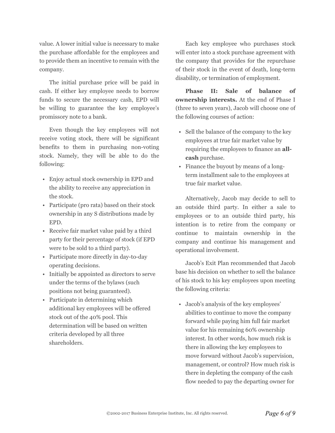value. A lower initial value is necessary to make the purchase affordable for the employees and to provide them an incentive to remain with the company.

The initial purchase price will be paid in cash. If either key employee needs to borrow funds to secure the necessary cash, EPD will be willing to guarantee the key employee's promissory note to a bank.

Even though the key employees will not receive voting stock, there will be significant benefits to them in purchasing non-voting stock. Namely, they will be able to do the following:

- Enjoy actual stock ownership in EPD and the ability to receive any appreciation in the stock.
- Participate (pro rata) based on their stock ownership in any S distributions made by EPD.
- Receive fair market value paid by a third party for their percentage of stock (if EPD were to be sold to a third party).
- Participate more directly in day-to-day operating decisions.
- Initially be appointed as directors to serve under the terms of the bylaws (such positions not being guaranteed).
- Participate in determining which additional key employees will be offered stock out of the 40% pool. This determination will be based on written criteria developed by all three shareholders.

Each key employee who purchases stock will enter into a stock purchase agreement with the company that provides for the repurchase of their stock in the event of death, long-term disability, or termination of employment.

**Phase II: Sale of balance of ownership interests.** At the end of Phase I (three to seven years), Jacob will choose one of the following courses of action:

- Sell the balance of the company to the key employees at true fair market value by requiring the employees to finance an **allcash** purchase.
- Finance the buyout by means of a longterm installment sale to the employees at true fair market value.

Alternatively, Jacob may decide to sell to an outside third party. In either a sale to employees or to an outside third party, his intention is to retire from the company or continue to maintain ownership in the company and continue his management and operational involvement.

Jacob's Exit Plan recommended that Jacob base his decision on whether to sell the balance of his stock to his key employees upon meeting the following criteria:

• Jacob's analysis of the key employees' abilities to continue to move the company forward while paying him full fair market value for his remaining 60% ownership interest. In other words, how much risk is there in allowing the key employees to move forward without Jacob's supervision, management, or control? How much risk is there in depleting the company of the cash flow needed to pay the departing owner for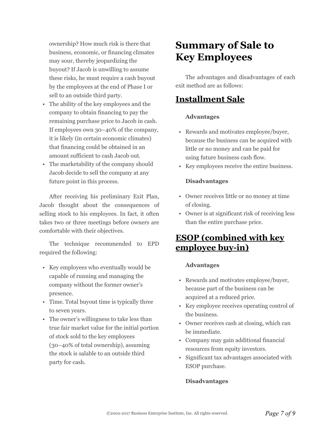ownership? How much risk is there that business, economic, or financing climates may sour, thereby jeopardizing the buyout? If Jacob is unwilling to assume these risks, he must require a cash buyout by the employees at the end of Phase I or sell to an outside third party.

- The ability of the key employees and the company to obtain financing to pay the remaining purchase price to Jacob in cash. If employees own 30–40% of the company, it is likely (in certain economic climates) that financing could be obtained in an amount sufficient to cash Jacob out.
- The marketability of the company should Jacob decide to sell the company at any future point in this process.

After receiving his preliminary Exit Plan, Jacob thought about the consequences of selling stock to his employees. In fact, it often takes two or three meetings before owners are comfortable with their objectives.

The technique recommended to EPD required the following:

- Key employees who eventually would be capable of running and managing the company without the former owner's presence.
- Time. Total buyout time is typically three to seven years.
- The owner's willingness to take less than true fair market value for the initial portion of stock sold to the key employees (30–40% of total ownership), assuming the stock is salable to an outside third party for cash.

# **Summary of Sale to Key Employees**

The advantages and disadvantages of each exit method are as follows:

### **Installment Sale**

#### **Advantages**

- Rewards and motivates employee/buyer, because the business can be acquired with little or no money and can be paid for using future business cash flow.
- Key employees receive the entire business.

#### **Disadvantages**

- Owner receives little or no money at time of closing.
- Owner is at significant risk of receiving less than the entire purchase price.

### **ESOP (combined with key employee buy-in)**

#### **Advantages**

- Rewards and motivates employee/buyer, because part of the business can be acquired at a reduced price.
- Key employee receives operating control of the business.
- Owner receives cash at closing, which can be immediate.
- Company may gain additional financial resources from equity investors.
- Significant tax advantages associated with ESOP purchase.

#### **Disadvantages**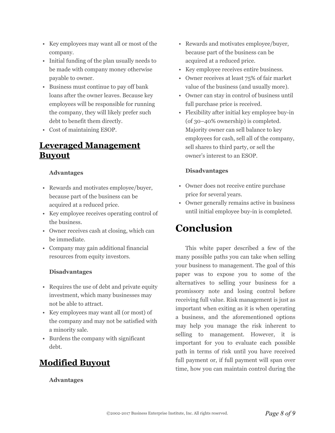- Key employees may want all or most of the company.
- Initial funding of the plan usually needs to be made with company money otherwise payable to owner.
- Business must continue to pay off bank loans after the owner leaves. Because key employees will be responsible for running the company, they will likely prefer such debt to benefit them directly.
- Cost of maintaining ESOP.

### **Leveraged Management Buyout**

#### **Advantages**

- Rewards and motivates employee/buyer, because part of the business can be acquired at a reduced price.
- Key employee receives operating control of the business.
- Owner receives cash at closing, which can be immediate.
- Company may gain additional financial resources from equity investors.

#### **Disadvantages**

- Requires the use of debt and private equity investment, which many businesses may not be able to attract.
- Key employees may want all (or most) of the company and may not be satisfied with a minority sale.
- Burdens the company with significant debt.

### **Modified Buyout**

**Advantages**

- Rewards and motivates employee/buyer, because part of the business can be acquired at a reduced price.
- Key employee receives entire business.
- Owner receives at least 75% of fair market value of the business (and usually more).
- Owner can stay in control of business until full purchase price is received.
- Flexibility after initial key employee buy-in (of 30–40% ownership) is completed. Majority owner can sell balance to key employees for cash, sell all of the company, sell shares to third party, or sell the owner's interest to an ESOP.

#### **Disadvantages**

- Owner does not receive entire purchase price for several years.
- Owner generally remains active in business until initial employee buy-in is completed.

# **Conclusion**

This white paper described a few of the many possible paths you can take when selling your business to management. The goal of this paper was to expose you to some of the alternatives to selling your business for a promissory note and losing control before receiving full value. Risk management is just as important when exiting as it is when operating a business, and the aforementioned options may help you manage the risk inherent to selling to management. However, it is important for you to evaluate each possible path in terms of risk until you have received full payment or, if full payment will span over time, how you can maintain control during the